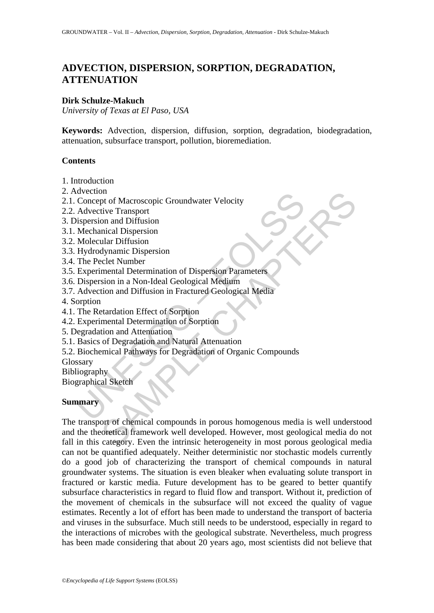# **ADVECTION, DISPERSION, SORPTION, DEGRADATION, ATTENUATION**

## **Dirk Schulze-Makuch**

*University of Texas at El Paso, USA* 

**Keywords:** Advection, dispersion, diffusion, sorption, degradation, biodegradation, attenuation, subsurface transport, pollution, bioremediation.

# **Contents**

- 1. Introduction
- 2. Advection
- 2.1. Concept of Macroscopic Groundwater Velocity
- 2.2. Advective Transport
- 3. Dispersion and Diffusion
- 3.1. Mechanical Dispersion
- 3.2. Molecular Diffusion
- 3.3. Hydrodynamic Dispersion
- 3.4. The Peclet Number
- 3.5. Experimental Determination of Dispersion Parameters
- 3.6. Dispersion in a Non-Ideal Geological Medium
- 3.7. Advection and Diffusion in Fractured Geological Media
- 4. Sorption
- 4.1. The Retardation Effect of Sorption
- 4.2. Experimental Determination of Sorption
- 5. Degradation and Attenuation
- 5.1. Basics of Degradation and Natural Attenuation
- Example of Macroscopic Groundwater Velocity<br>
Concept of Macroscopic Groundwater Velocity<br>
Advective Transport<br>
Hydrodynamic Dispersion<br>
Molecular Diffusion<br>
The Peclet Number<br>
The Peclet Number<br>
Experimental Determination 5.2. Biochemical Pathways for Degradation of Organic Compounds
- Glossary
- **Bibliography**

Biographical Sketch

# **Summary**

n<br>
metal Dispersion<br>
et of Macroscopic Groundwater Velocity<br>
tive Transport<br>
tive Transport<br>
tive Transport<br>
culture Transport<br>
ular Diffusion<br>
et et Number<br>
mental Determination of Dispersion<br>
responsible Mariam and Diffu The transport of chemical compounds in porous homogenous media is well understood and the theoretical framework well developed. However, most geological media do not fall in this category. Even the intrinsic heterogeneity in most porous geological media can not be quantified adequately. Neither deterministic nor stochastic models currently do a good job of characterizing the transport of chemical compounds in natural groundwater systems. The situation is even bleaker when evaluating solute transport in fractured or karstic media. Future development has to be geared to better quantify subsurface characteristics in regard to fluid flow and transport. Without it, prediction of the movement of chemicals in the subsurface will not exceed the quality of vague estimates. Recently a lot of effort has been made to understand the transport of bacteria and viruses in the subsurface. Much still needs to be understood, especially in regard to the interactions of microbes with the geological substrate. Nevertheless, much progress has been made considering that about 20 years ago, most scientists did not believe that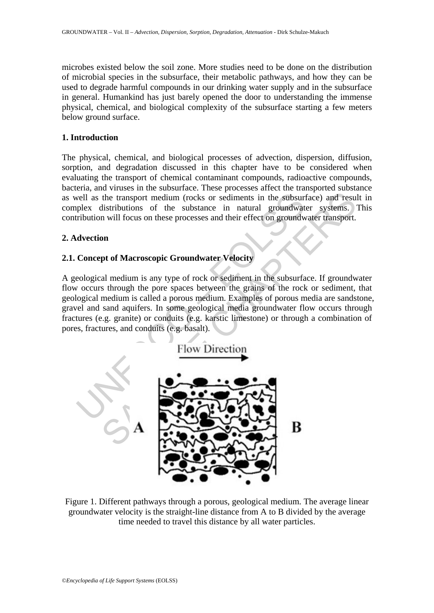microbes existed below the soil zone. More studies need to be done on the distribution of microbial species in the subsurface, their metabolic pathways, and how they can be used to degrade harmful compounds in our drinking water supply and in the subsurface in general. Humankind has just barely opened the door to understanding the immense physical, chemical, and biological complexity of the subsurface starting a few meters below ground surface.

## **1. Introduction**

The physical, chemical, and biological processes of advection, dispersion, diffusion, sorption, and degradation discussed in this chapter have to be considered when evaluating the transport of chemical contaminant compounds, radioactive compounds, bacteria, and viruses in the subsurface. These processes affect the transported substance as well as the transport medium (rocks or sediments in the subsurface) and result in complex distributions of the substance in natural groundwater systems. This contribution will focus on these processes and their effect on groundwater transport.

# **2. Advection**

# **2.1. Concept of Macroscopic Groundwater Velocity**

A geological medium is any type of rock or sediment in the subsurface. If groundwater flow occurs through the pore spaces between the grains of the rock or sediment, that geological medium is called a porous medium. Examples of porous media are sandstone, gravel and sand aquifers. In some geological media groundwater flow occurs through fractures (e.g. granite) or conduits (e.g. karstic limestone) or through a combination of pores, fractures, and conduits (e.g. basalt).



Figure 1. Different pathways through a porous, geological medium. The average linear groundwater velocity is the straight-line distance from A to B divided by the average time needed to travel this distance by all water particles.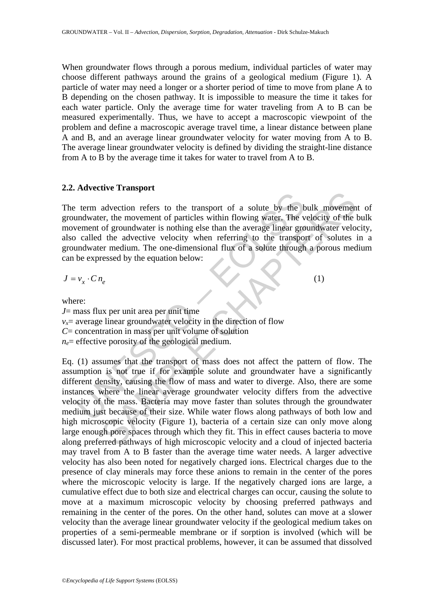When groundwater flows through a porous medium, individual particles of water may choose different pathways around the grains of a geological medium (Figure 1). A particle of water may need a longer or a shorter period of time to move from plane A to B depending on the chosen pathway. It is impossible to measure the time it takes for each water particle. Only the average time for water traveling from A to B can be measured experimentally. Thus, we have to accept a macroscopic viewpoint of the problem and define a macroscopic average travel time, a linear distance between plane A and B, and an average linear groundwater velocity for water moving from A to B. The average linear groundwater velocity is defined by dividing the straight-line distance from A to B by the average time it takes for water to travel from A to B.

#### **2.2. Advective Transport**

The term advection refers to the transport of a solute by the bulk movement of groundwater, the movement of particles within flowing water. The velocity of the bulk movement of groundwater is nothing else than the average linear groundwater velocity, also called the advective velocity when referring to the transport of solutes in a groundwater medium. The one-dimensional flux of a solute through a porous medium can be expressed by the equation below:

 $J = v_x \cdot C n_e$  (1)

where:

*J*= mass flux per unit area per unit time  $v_x$ = average linear groundwater velocity in the direction of flow *C*= concentration in mass per unit volume of solution  $n_e$ = effective porosity of the geological medium.

term advection refers to the transport of a solute by the hundwater, the movement of particles within flowing water. The verment of groundwater is nothing else than the average linear gro<br>called the advective velocity whe and exercise the transport of a solute by the bulk movement<br>of exercet, the movement of particles within flowing water. The velocity of the<br>of groundwater is nothing else than the average linear groundwater velo<br>l the adve Eq. (1) assumes that the transport of mass does not affect the pattern of flow. The assumption is not true if for example solute and groundwater have a significantly different density, causing the flow of mass and water to diverge. Also, there are some instances where the linear average groundwater velocity differs from the advective velocity of the mass. Bacteria may move faster than solutes through the groundwater medium just because of their size. While water flows along pathways of both low and high microscopic velocity (Figure 1), bacteria of a certain size can only move along large enough pore spaces through which they fit. This in effect causes bacteria to move along preferred pathways of high microscopic velocity and a cloud of injected bacteria may travel from A to B faster than the average time water needs. A larger advective velocity has also been noted for negatively charged ions. Electrical charges due to the presence of clay minerals may force these anions to remain in the center of the pores where the microscopic velocity is large. If the negatively charged ions are large, a cumulative effect due to both size and electrical charges can occur, causing the solute to move at a maximum microscopic velocity by choosing preferred pathways and remaining in the center of the pores. On the other hand, solutes can move at a slower velocity than the average linear groundwater velocity if the geological medium takes on properties of a semi-permeable membrane or if sorption is involved (which will be discussed later). For most practical problems, however, it can be assumed that dissolved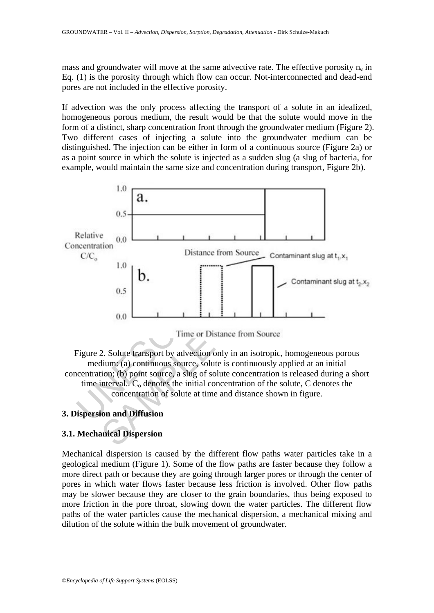mass and groundwater will move at the same advective rate. The effective porosity  $n_e$  in Eq. (1) is the porosity through which flow can occur. Not-interconnected and dead-end pores are not included in the effective porosity.

If advection was the only process affecting the transport of a solute in an idealized, homogeneous porous medium, the result would be that the solute would move in the form of a distinct, sharp concentration front through the groundwater medium (Figure 2). Two different cases of injecting a solute into the groundwater medium can be distinguished. The injection can be either in form of a continuous source (Figure 2a) or as a point source in which the solute is injected as a sudden slug (a slug of bacteria, for example, would maintain the same size and concentration during transport, Figure 2b).



Figure 2. Solute transport by advection only in an isotropic, homogeneous porous medium: (a) continuous source, solute is continuously applied at an initial concentration; (b) point source, a slug of solute concentration is released during a short time interval..  $C_0$  denotes the initial concentration of the solute, C denotes the concentration of solute at time and distance shown in figure.

# **3. Dispersion and Diffusion**

# **3.1. Mechanical Dispersion**

Mechanical dispersion is caused by the different flow paths water particles take in a geological medium (Figure 1). Some of the flow paths are faster because they follow a more direct path or because they are going through larger pores or through the center of pores in which water flows faster because less friction is involved. Other flow paths may be slower because they are closer to the grain boundaries, thus being exposed to more friction in the pore throat, slowing down the water particles. The different flow paths of the water particles cause the mechanical dispersion, a mechanical mixing and dilution of the solute within the bulk movement of groundwater.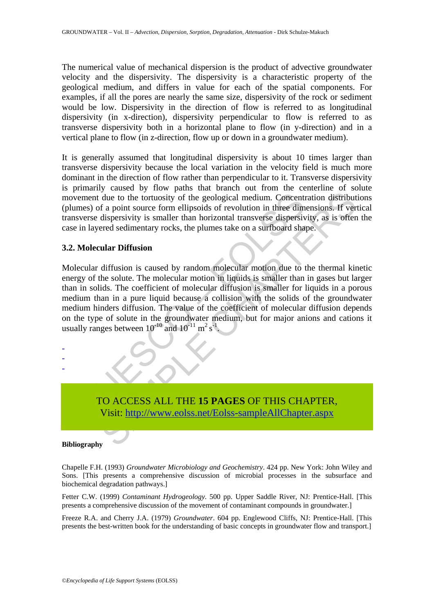The numerical value of mechanical dispersion is the product of advective groundwater velocity and the dispersivity. The dispersivity is a characteristic property of the geological medium, and differs in value for each of the spatial components. For examples, if all the pores are nearly the same size, dispersivity of the rock or sediment would be low. Dispersivity in the direction of flow is referred to as longitudinal dispersivity (in x-direction), dispersivity perpendicular to flow is referred to as transverse dispersivity both in a horizontal plane to flow (in y-direction) and in a vertical plane to flow (in z-direction, flow up or down in a groundwater medium).

It is generally assumed that longitudinal dispersivity is about 10 times larger than transverse dispersivity because the local variation in the velocity field is much more dominant in the direction of flow rather than perpendicular to it. Transverse dispersivity is primarily caused by flow paths that branch out from the centerline of solute movement due to the tortuosity of the geological medium. Concentration distributions (plumes) of a point source form ellipsoids of revolution in three dimensions. If vertical transverse dispersivity is smaller than horizontal transverse dispersivity, as is often the case in layered sedimentary rocks, the plumes take on a surfboard shape.

## **3.2. Molecular Diffusion**

whenever the total to the total to the selection of the geological medium. Concent<br>mes) of a point source form ellipsoids of revolution in three dim<br>sverse dispersivity is smaller than horizontal transverse dispersivi<br>in due to the tortuosity of the geological medium. Concentration distribut<br>due to the tortuosity of the geological medium. Concentration distribut<br>f a point source form ellipsoids of revolution in three dimensions. If ver<br>di Molecular diffusion is caused by random molecular motion due to the thermal kinetic energy of the solute. The molecular motion in liquids is smaller than in gases but larger than in solids. The coefficient of molecular diffusion is smaller for liquids in a porous medium than in a pure liquid because a collision with the solids of the groundwater medium hinders diffusion. The value of the coefficient of molecular diffusion depends on the type of solute in the groundwater medium, but for major anions and cations it usually ranges between  $10^{-10}$  and  $10^{-11}$  m<sup>2</sup> s<sup>-1</sup>.



#### **Bibliography**

- - -

Chapelle F.H. (1993) *Groundwater Microbiology and Geochemistry*. 424 pp. New York: John Wiley and Sons. [This presents a comprehensive discussion of microbial processes in the subsurface and biochemical degradation pathways.]

Fetter C.W. (1999) *Contaminant Hydrogeology*. 500 pp. Upper Saddle River, NJ: Prentice-Hall. [This presents a comprehensive discussion of the movement of contaminant compounds in groundwater.]

Freeze R.A. and Cherry J.A. (1979) *Groundwater*. 604 pp. Englewood Cliffs, NJ: Prentice-Hall. [This presents the best-written book for the understanding of basic concepts in groundwater flow and transport.]